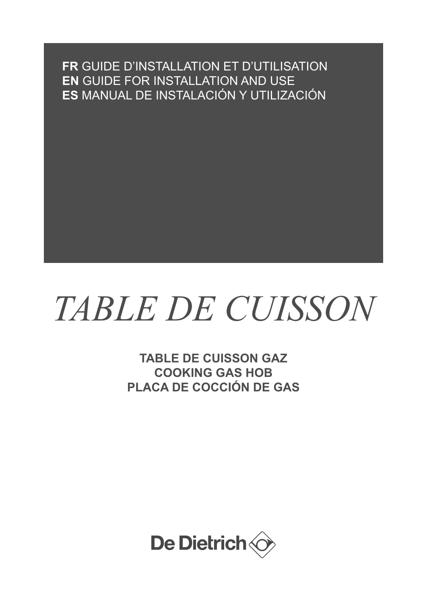**FR** GUIDE D'INSTALLATION ET D'UTILISATION **EN** GUIDE FOR INSTALLATION AND USE **ES** MANUAL DE INSTALACIÓN Y UTILIZACIÓN

# *TABLE DE CUISSON*

**TABLE DE CUISSON GAZ COOKING GAS HOB PLACA DE COCCIÓN DE GAS**

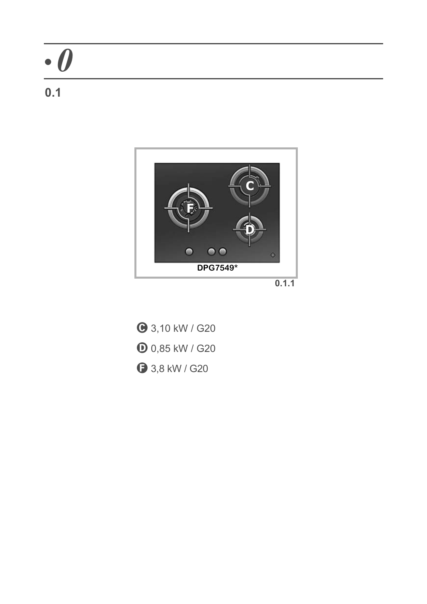### **0.1**



**0.1.1**

**● 3,10 kW / G20 D** 0,85 kW / G20 **3**,8 kW / G20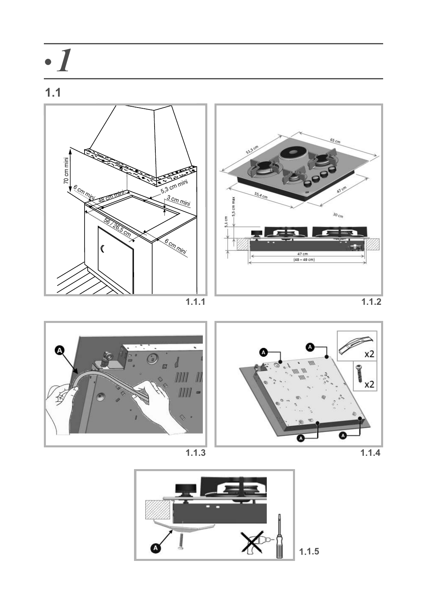











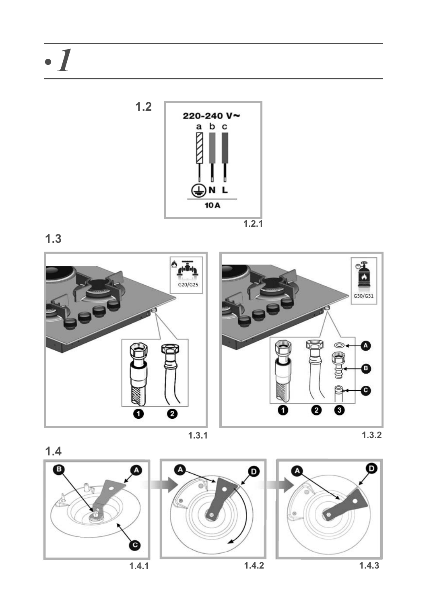

**1.3**



**1.3.1 1.3.2**

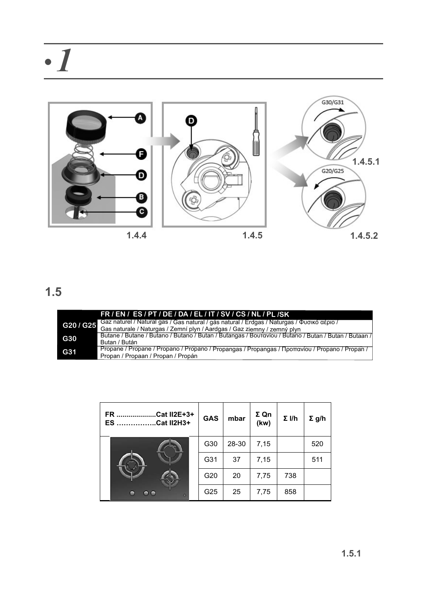

|         | FR/EN/ES/PT/DE/DA/EL/IT/SV/CS/NL/PL/SK                                                               |
|---------|------------------------------------------------------------------------------------------------------|
| G20/G25 | Gaz naturel / Natural gas / Gas natural / gás natural / Erdgas / Naturgas / Φυσικό αέριο /           |
|         | Gas naturale / Naturgas / Zemní plyn / Aardgas / Gaz ziemny / zemný plyn                             |
| G30     | Butane / Butane / Butano / Butano / Butan / Butangas / Βουτανίου / Butano / Butan / Butan / Butagn / |
|         | Butan / Bután                                                                                        |
| G31     | Propane / Propane / Propano / Propano / Propangas / Propangas / Προπανίου / Propano / Propan /       |
|         | Propan / Propaan / Propan / Propán                                                                   |

| Cat II2E+3+<br>FR.<br>ES.<br><b>Cat II2H3+</b> | <b>GAS</b>      | mbar  | ΣQn<br>(kw) | $\Sigma$ I/h | $\Sigma$ g/h |
|------------------------------------------------|-----------------|-------|-------------|--------------|--------------|
|                                                | G30             | 28-30 | 7,15        |              | 520          |
|                                                | G31             | 37    | 7,15        |              | 511          |
|                                                | G <sub>20</sub> | 20    | 7,75        | 738          |              |
| $\bullet$ $\bullet$<br>Θ<br>×                  | G25             | 25    | 7,75        | 858          |              |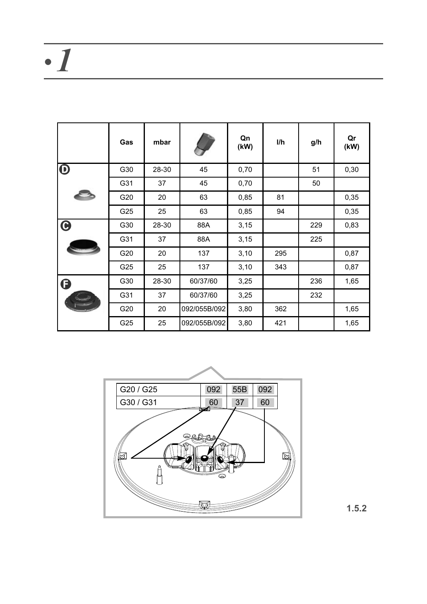|                       | Gas | mbar  |              | Qn<br>(kW) | l/h | g/h | Qr<br>(kW) |
|-----------------------|-----|-------|--------------|------------|-----|-----|------------|
| $\boldsymbol{\Theta}$ | G30 | 28-30 | 45           | 0,70       |     | 51  | 0,30       |
|                       | G31 | 37    | 45           | 0,70       |     | 50  |            |
|                       | G20 | 20    | 63           | 0,85       | 81  |     | 0,35       |
|                       | G25 | 25    | 63           | 0,85       | 94  |     | 0,35       |
| $\boldsymbol{\Theta}$ | G30 | 28-30 | 88A          | 3,15       |     | 229 | 0,83       |
|                       | G31 | 37    | 88A          | 3,15       |     | 225 |            |
|                       | G20 | 20    | 137          | 3,10       | 295 |     | 0,87       |
|                       | G25 | 25    | 137          | 3,10       | 343 |     | 0,87       |
| G                     | G30 | 28-30 | 60/37/60     | 3,25       |     | 236 | 1,65       |
|                       | G31 | 37    | 60/37/60     | 3,25       |     | 232 |            |
|                       | G20 | 20    | 092/055B/092 | 3,80       | 362 |     | 1,65       |
|                       | G25 | 25    | 092/055B/092 | 3,80       | 421 |     | 1,65       |



**1.5.2**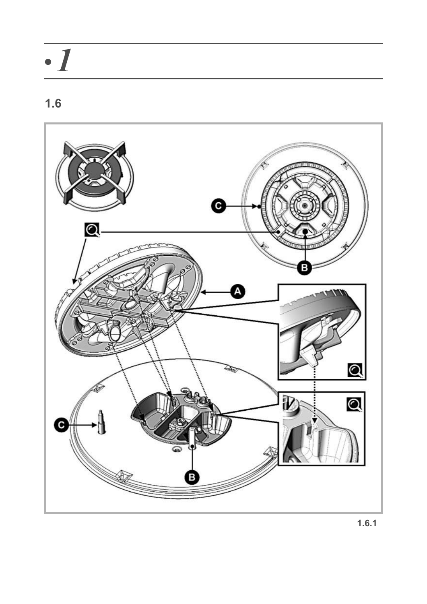

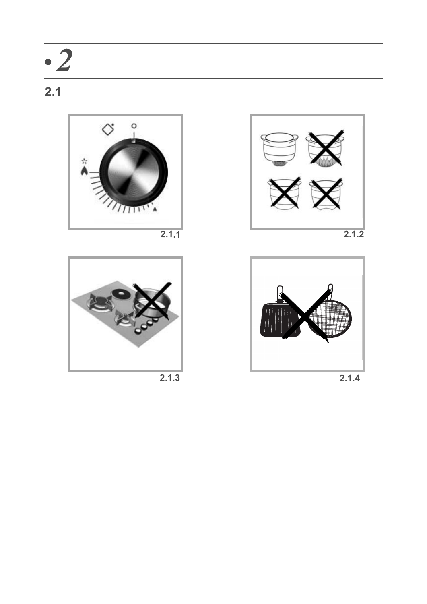



**2.1.3**



**2.1.1 2.1.2**



**2.1.4**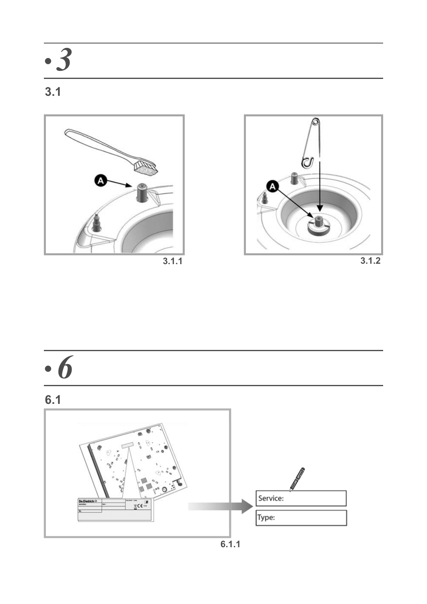### **3.1**





$$
3.1.2
$$





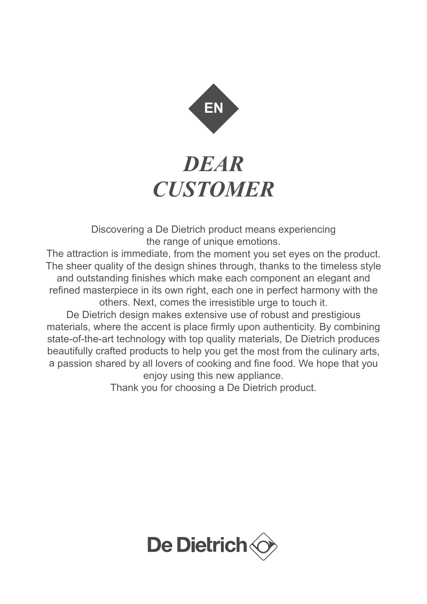

### *DEAR CUSTOMER*

Discovering a De Dietrich product means experiencing the range of unique emotions.

The attraction is immediate, from the moment you set eyes on the product. The sheer quality of the design shines through, thanks to the timeless style and outstanding finishes which make each component an elegant and refined masterpiece in its own right, each one in perfect harmony with the others. Next, comes the irresistible urge to touch it.

De Dietrich design makes extensive use of robust and prestigious materials, where the accent is place firmly upon authenticity. By combining state-of-the-art technology with top quality materials, De Dietrich produces beautifully crafted products to help you get the most from the culinary arts, a passion shared by all lovers of cooking and fine food. We hope that you enjoy using this new appliance.

Thank you for choosing a De Dietrich product.

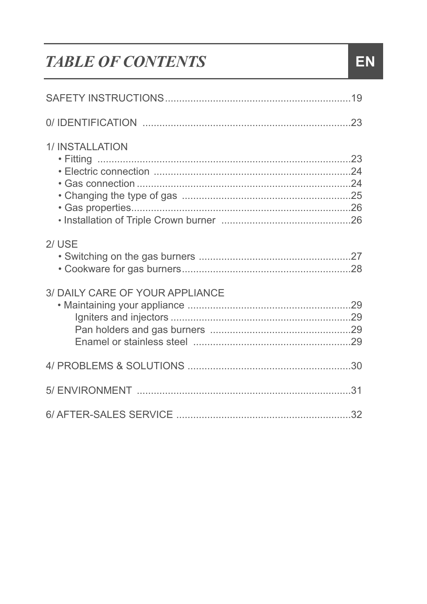### **TABLE OF CONTENTS**

| 1/INSTALLATION                  |
|---------------------------------|
| $2$ / USE                       |
| 3/ DAILY CARE OF YOUR APPLIANCE |
|                                 |
|                                 |
|                                 |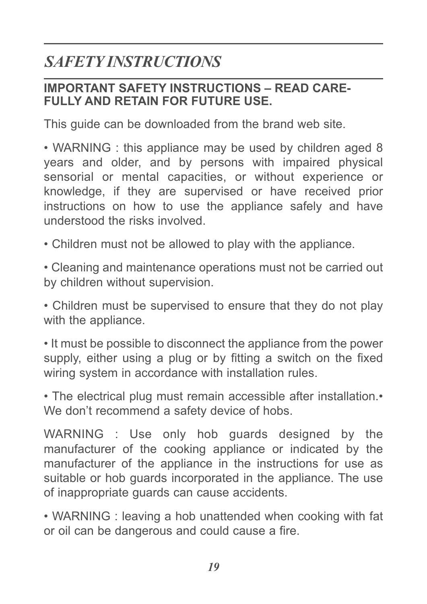### **IMPORTANT SAFETY INSTRUCTIONS – READ CARE-FULLY AND RETAIN FOR FUTURE USE.**

This guide can be downloaded from the brand web site.

• WARNING : this appliance may be used by children aged 8 years and older, and by persons with impaired physical sensorial or mental capacities, or without experience or knowledge, if they are supervised or have received prior instructions on how to use the appliance safely and have understood the risks involved.

• Children must not be allowed to play with the appliance.

• Cleaning and maintenance operations must not be carried out by children without supervision.

• Children must be supervised to ensure that they do not play with the appliance.

• It must be possible to disconnect the appliance from the power supply, either using a plug or by fitting a switch on the fixed wiring system in accordance with installation rules.

• The electrical plug must remain accessible after installation.• We don't recommend a safety device of hobs.

WARNING : Use only hob guards designed by the manufacturer of the cooking appliance or indicated by the manufacturer of the appliance in the instructions for use as suitable or hob guards incorporated in the appliance. The use of inappropriate guards can cause accidents.

• WARNING : leaving a hob unattended when cooking with fat or oil can be dangerous and could cause a fire.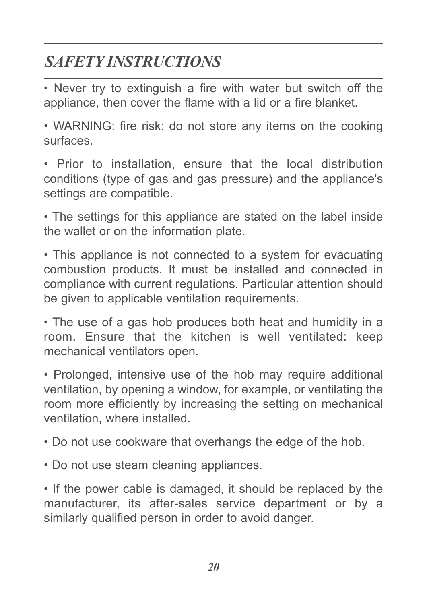• Never try to extinguish a fire with water but switch off the appliance, then cover the flame with a lid or a fire blanket.

• WARNING: fire risk: do not store any items on the cooking surfaces.

• Prior to installation, ensure that the local distribution conditions (type of gas and gas pressure) and the appliance's settings are compatible.

• The settings for this appliance are stated on the label inside the wallet or on the information plate.

• This appliance is not connected to a system for evacuating combustion products. It must be installed and connected in compliance with current regulations. Particular attention should be given to applicable ventilation requirements.

• The use of a gas hob produces both heat and humidity in a room. Ensure that the kitchen is well ventilated: keep mechanical ventilators open.

• Prolonged, intensive use of the hob may require additional ventilation, by opening a window, for example, or ventilating the room more efficiently by increasing the setting on mechanical ventilation, where installed.

• Do not use cookware that overhangs the edge of the hob.

• Do not use steam cleaning appliances.

• If the power cable is damaged, it should be replaced by the manufacturer, its after-sales service department or by a similarly qualified person in order to avoid danger.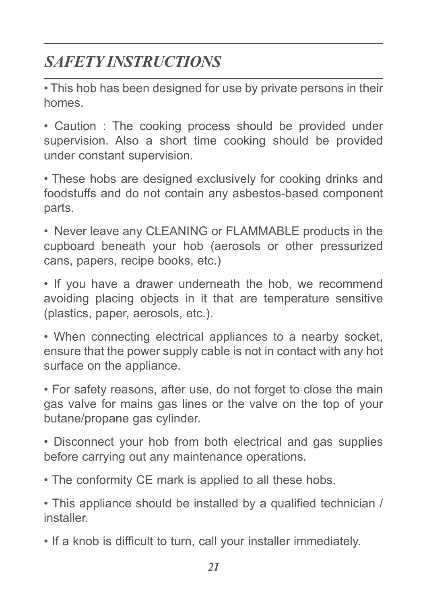• This hob has been designed for use by private persons in their homes.

• Caution : The cooking process should be provided under supervision. Also a short time cooking should be provided under constant supervision.

• These hobs are designed exclusively for cooking drinks and foodstuffs and do not contain any asbestos-based component parts.

• Never leave any CLEANING or FLAMMABLE products in the cupboard beneath your hob (aerosols or other pressurized cans, papers, recipe books, etc.)

• If you have a drawer underneath the hob, we recommend avoiding placing objects in it that are temperature sensitive (plastics, paper, aerosols, etc.).

• When connecting electrical appliances to a nearby socket, ensure that the power supply cable is not in contact with any hot surface on the appliance.

• For safety reasons, after use, do not forget to close the main gas valve for mains gas lines or the valve on the top of your butane/propane gas cylinder.

• Disconnect your hob from both electrical and gas supplies before carrying out any maintenance operations.

• The conformity CE mark is applied to all these hobs.

• This appliance should be installed by a qualified technician / installer.

• If a knob is difficult to turn, call your installer immediately.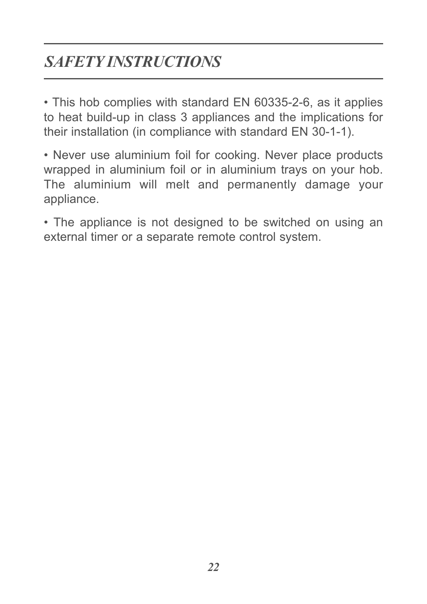• This hob complies with standard EN 60335-2-6, as it applies to heat build-up in class 3 appliances and the implications for their installation (in compliance with standard EN 30-1-1).

• Never use aluminium foil for cooking. Never place products wrapped in aluminium foil or in aluminium trays on your hob. The aluminium will melt and permanently damage your appliance.

• The appliance is not designed to be switched on using an external timer or a separate remote control system.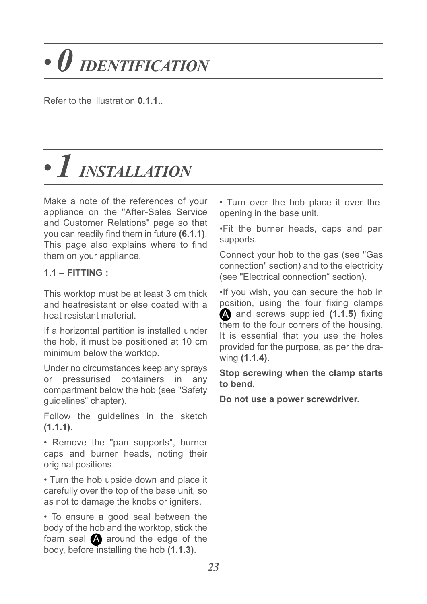# *• 0 IDENTIFICATION*

Refer to the illustration **0.1.1.**.

# *• 1 INSTALLATION*

Make a note of the references of your appliance on the "After-Sales Service and Customer Relations" page so that you can readily find them in future **(6.1.1)**. This page also explains where to find them on your appliance.

#### **1.1 – FITTING :**

This worktop must be at least 3 cm thick and heatresistant or else coated with a heat resistant material.

If a horizontal partition is installed under the hob, it must be positioned at 10 cm minimum below the worktop.

Under no circumstances keep any sprays or pressurised containers in any compartment below the hob (see "Safety guidelines" chapter).

Follow the guidelines in the sketch **(1.1.1)**.

• Remove the "pan supports", burner caps and burner heads, noting their original positions.

• Turn the hob upside down and place it carefully over the top of the base unit, so as not to damage the knobs or igniters.

• To ensure a good seal between the body of the hob and the worktop, stick the foam seal  $\blacktriangle$  around the edge of the body, before installing the hob **(1.1.3)**.

• Turn over the hob place it over the opening in the base unit.

•Fit the burner heads, caps and pan supports.

Connect your hob to the gas (see "Gas connection" section) and to the electricity (see "Electrical connection" section).

•If you wish, you can secure the hob in position, using the four fixing clamps A and screws supplied (1.1.5) fixing them to the four corners of the housing. It is essential that you use the holes provided for the purpose, as per the drawing **(1.1.4)**.

**Stop screwing when the clamp starts to bend.** 

**Do not use a power screwdriver.**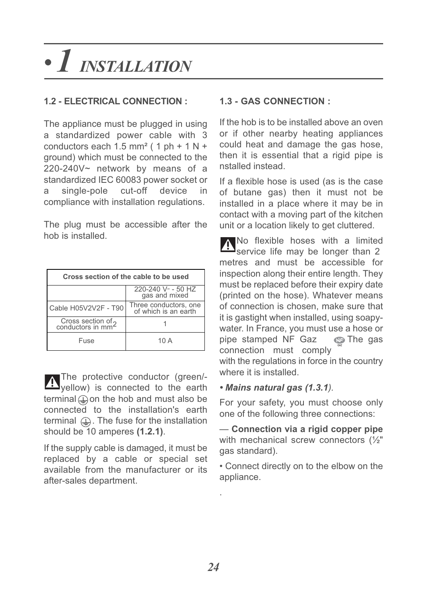## *• 1 INSTALLATION*

### **1.2 - ELECTRICAL CONNECTION :**

The appliance must be plugged in using a standardized power cable with 3 conductors each  $1.5$  mm<sup>2</sup> ( 1 ph + 1 N + ground) which must be connected to the 220-240V~ network by means of a standardized IEC 60083 power socket or single-pole cut-off device in compliance with installation regulations.

The plug must be accessible after the hob is installed.

| Cross section of the cable to be used               |                                               |  |  |  |
|-----------------------------------------------------|-----------------------------------------------|--|--|--|
|                                                     | 220-240 V ~- 50 HZ<br>gas and mixed           |  |  |  |
| Cable H05V2V2F - T90                                | Three conductors, one<br>of which is an earth |  |  |  |
| Cross section of 2<br>conductors in mm <sup>2</sup> |                                               |  |  |  |
| Fuse                                                | 10 A                                          |  |  |  |

The protective conductor (green/yellow) is connected to the earth terminal  $\bigoplus$  on the hob and must also be connected to the installation's earth terminal  $\mathbf{r}$ . The fuse for the installation should be 10 amperes **(1.2.1)**.

If the supply cable is damaged, it must be replaced by a cable or special set available from the manufacturer or its after-sales department.

### **1.3 - GAS CONNECTION :**

If the hob is to be installed above an oven or if other nearby heating appliances could heat and damage the gas hose, then it is essential that a rigid pipe is nstalled instead.

If a flexible hose is used (as is the case of butane gas) then it must not be installed in a place where it may be in contact with a moving part of the kitchen unit or a location likely to get cluttered.

No flexible hoses with a limited service life may be longer than 2 metres and must be accessible for inspection along their entire length. They must be replaced before their expiry date (printed on the hose). Whatever means of connection is chosen, make sure that it is gastight when installed, using soapywater. In France, you must use a hose or pipe stamped NF Gaz 
<sub>
S</sub>The gas connection must comply

with the regulations in force in the country where it is installed.

#### *• Mains natural gas (1.3.1).*

For your safety, you must choose only one of the following three connections:

— **Connection via a rigid copper pipe** with mechanical screw connectors (½" gas standard).

• Connect directly on to the elbow on the appliance.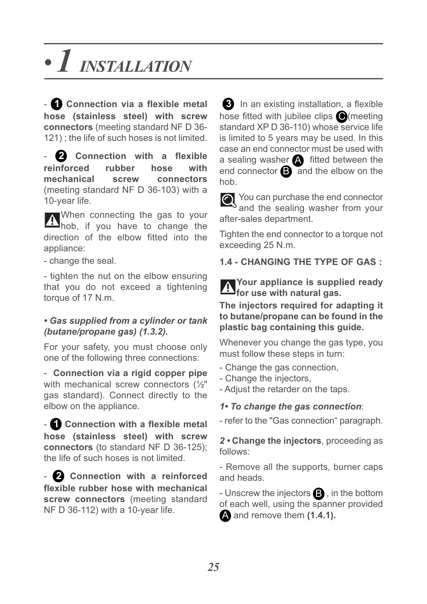## *• 1 INSTALLATION*

- **Connection via a flexible metal 1 hose (stainless steel) with screw connectors** (meeting standard NF D 36- 121) ; the life of such hoses is not limited.

- **Connection with a flexible reinforced rubber hose with mechanical screw connectors** (meeting standard NF D 36-103) with a 10-year life. **2**

When connecting the gas to your hob, if you have to change the direction of the elbow fitted into the appliance:

- change the seal.

- tighten the nut on the elbow ensuring that you do not exceed a tightening torque of 17 N.m.

#### *• Gas supplied from a cylinder or tank (butane/propane gas) (1.3.2).*

For your safety, you must choose only one of the following three connections:

- **Connection via a rigid copper pipe** with mechanical screw connectors (1/2" gas standard). Connect directly to the elbow on the appliance.

- **Connection with a flexible metal 1 hose (stainless steel) with screw connectors** (to standard NF D 36-125); the life of such hoses is not limited.

- **Connection with a reinforced 2 flexible rubber hose with mechanical screw connectors** (meeting standard NF D 36-112) with a 10-year life.

**3** In an existing installation, a flexible hose fitted with jubilee clips O(meeting standard XP D 36-110) whose service life is limited to 5 years may be used. In this case an end connector must be used with a sealing washer  $\blacktriangle$  fitted between the end connector  $\bigoplus$  and the elbow on the hob.

You can purchase the end connector and the sealing washer from your after-sales department.

Tighten the end connector to a torque not exceeding 25 N.m.

### **1.4 - CHANGING THE TYPE OF GAS :**

**Your appliance is supplied ready for use with natural gas.**

**The injectors required for adapting it to butane/propane can be found in the plastic bag containing this guide.**

Whenever you change the gas type, you must follow these steps in turn:

- Change the gas connection,
- Change the injectors,
- Adjust the retarder on the taps.

#### *1• To change the gas connection*:

- refer to the "Gas connection" paragraph.

*2 •* **Change the injectors**, proceeding as follows:

- Remove all the supports, burner caps and heads.

- Unscrew the injectors  $\mathbf{B}$  , in the bottom of each well, using the spanner provided and remove them **(1.4.1).** A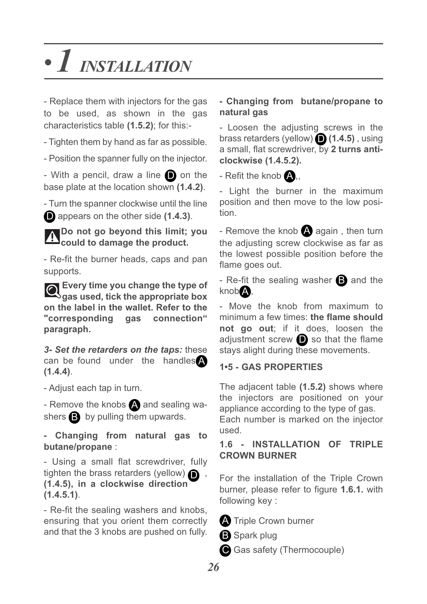## *• 1 INSTALLATION*

- Replace them with injectors for the gas to be used, as shown in the gas characteristics table **(1.5.2)**; for this:-

- Tighten them by hand as far as possible.

- Position the spanner fully on the injector.

- With a pencil, draw a line  $\Box$  on the base plate at the location shown **(1.4.2)**.

- Turn the spanner clockwise until the line **D** appears on the other side (1.4.3).

**Do not go beyond this limit; you could to damage the product.**

- Re-fit the burner heads, caps and pan supports.

**Every time you change the type of gas used, tick the appropriate box on the label in the wallet. Refer to the "corresponding gas connection" paragraph.**

*3- Set the retarders on the taps:* these can be found under the handles A **(1.4.4)**.

- Adjust each tap in turn.

- Remove the knobs  $\triangle$  and sealing washers  $\mathbf{B}$  by pulling them upwards.

**- Changing from natural gas to butane/propane** :

- Using a small flat screwdriver, fully tighten the brass retarders (yellow) **O**. **(1.4.5), in a clockwise direction (1.4.5.1)**.

- Re-fit the sealing washers and knobs, ensuring that you orient them correctly and that the 3 knobs are pushed on fully.

### **- Changing from butane/propane to natural gas**

- Loosen the adjusting screws in the brass retarders (yellow) **(1.4.5)** , using D a small, flat screwdriver, by **2 turns anticlockwise (1.4.5.2).**

- Refit the knob  $\blacktriangle$ ,,

- Light the burner in the maximum position and then move to the low position.

- Remove the knob  $\blacktriangle$  again, then turn the adjusting screw clockwise as far as the lowest possible position before the flame goes out.

- Re-fit the sealing washer  $\mathbf B$  and the knob **A**,

- Move the knob from maximum to minimum a few times: **the flame should not go out**; if it does, loosen the adjustment screw  $\bigcirc$  so that the flame stays alight during these movements.

### **1•5 - GAS PROPERTIES**

The adjacent table **(1.5.2)** shows where the injectors are positioned on your appliance according to the type of gas.

Each number is marked on the injector used.

#### **1.6 - INSTALLATION OF TRIPLE CROWN BURNER**

For the installation of the Triple Crown burner, please refer to figure **1.6.1.** with following key :

**A** Triple Crown burner

- **B** Spark plug
- Gas safety (Thermocouple)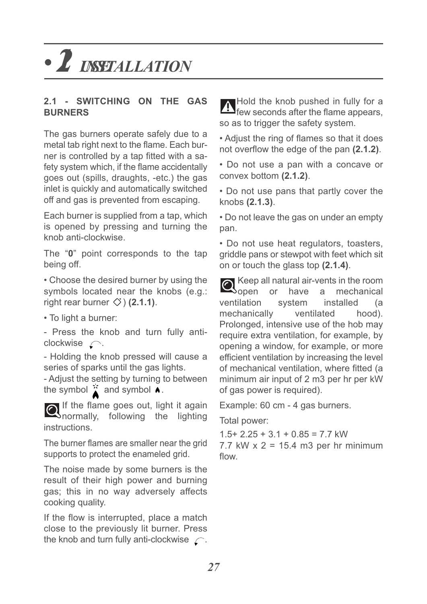## **• 2** *INSTALLATION*

#### **2.1 - SWITCHING ON THE GAS BURNERS**

The gas burners operate safely due to a metal tab right next to the flame. Each burner is controlled by a tap fitted with a safety system which, if the flame accidentally goes out (spills, draughts, -etc.) the gas inlet is quickly and automatically switched off and gas is prevented from escaping.

Each burner is supplied from a tap, which is opened by pressing and turning the knob anti-clockwise.

The "**0**" point corresponds to the tap being off.

• Choose the desired burner by using the symbols located near the knobs (e.g.: right rear burner  $\Diamond$  **(2.1.1)**.

• To light a burner:

- Press the knob and turn fully anticlockwise  $\bigcap$ .

- Holding the knob pressed will cause a series of sparks until the gas lights.

- Adjust the setting by turning to between the symbol  $\sum$  and symbol  $\sum$ .

If the flame goes out, light it again normally, following the lighting instructions.

The burner flames are smaller near the grid supports to protect the enameled grid.

The noise made by some burners is the result of their high power and burning gas; this in no way adversely affects cooking quality.

If the flow is interrupted, place a match close to the previously lit burner. Press the knob and turn fully anti-clockwise  $\curvearrowright$ .

Hold the knob pushed in fully for a **I** few seconds after the flame appears, so as to trigger the safety system.

• Adjust the ring of flames so that it does not overflow the edge of the pan **(2.1.2)**.

• Do not use a pan with a concave or convex bottom **(2.1.2)**.

• Do not use pans that partly cover the knobs **(2.1.3)**.

• Do not leave the gas on under an empty pan.

• Do not use heat regulators, toasters, griddle pans or stewpot with feet which sit on or touch the glass top **(2.1.4)**.

Keep all natural air-vents in the room open or have a mechanical ventilation system installed (a mechanically ventilated hood). Prolonged, intensive use of the hob may require extra ventilation, for example, by opening a window, for example, or more efficient ventilation by increasing the level of mechanical ventilation, where fitted (a minimum air input of 2 m3 per hr per kW of gas power is required).

Example: 60 cm - 4 gas burners.

Total power:

 $1.5+ 2.25 + 3.1 + 0.85 = 7.7$  kW  $7.7$  kW  $\times$  2 = 15.4 m3 per hr minimum flow.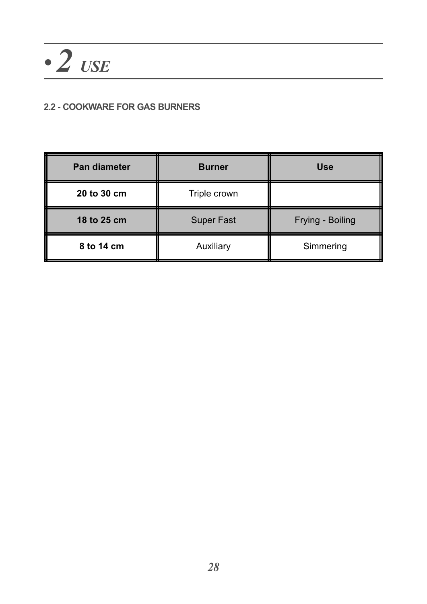### **2.2 - COOKWARE FOR GAS BURNERS**

| Pan diameter | <b>Burner</b>     | <b>Use</b>       |  |
|--------------|-------------------|------------------|--|
| 20 to 30 cm  | Triple crown      |                  |  |
| 18 to 25 cm  | <b>Super Fast</b> | Frying - Boiling |  |
| 8 to 14 cm   | Auxiliary         | Simmering        |  |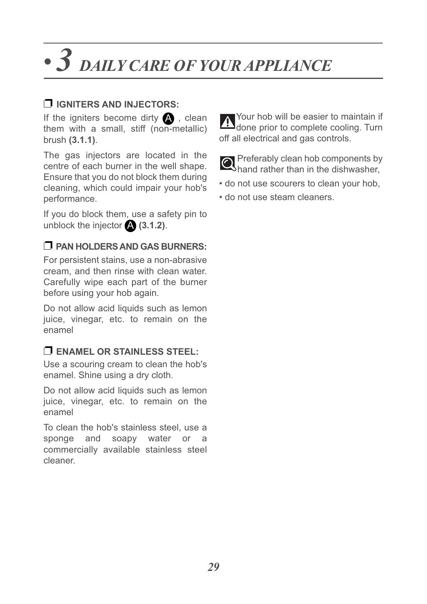## *• 3 DAILY CARE OF YOUR APPLIANCE*

### ❐ **IGNITERS AND INJECTORS:**

If the igniters become dirty  $\blacktriangle$ , clean them with a small, stiff (non-metallic) brush **(3.1.1)**.

The gas injectors are located in the centre of each burner in the well shape. Ensure that you do not block them during cleaning, which could impair your hob's performance.

If you do block them, use a safety pin to unblock the injector **(3.1.2)**. A

### ❐ **PAN HOLDERS AND GAS BURNERS:**

For persistent stains, use a non-abrasive cream, and then rinse with clean water. Carefully wipe each part of the burner before using your hob again.

Do not allow acid liquids such as lemon juice, vinegar, etc. to remain on the enamel

### ❐ **ENAMEL OR STAINLESS STEEL:**

Use a scouring cream to clean the hob's enamel. Shine using a dry cloth.

Do not allow acid liquids such as lemon juice, vinegar, etc. to remain on the enamel

To clean the hob's stainless steel, use a sponge and soapy water or a commercially available stainless steel cleaner.



**O** Preferably clean hob components by **Shand rather than in the dishwasher.** 

- do not use scourers to clean your hob,
- do not use steam cleaners.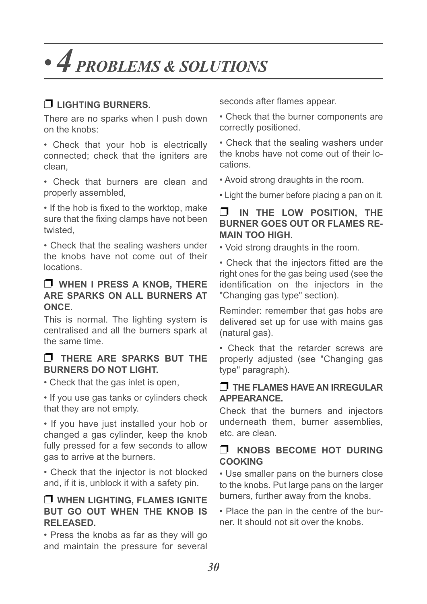## *• 4 PROBLEMS & SOLUTIONS*

### ❐ **LIGHTING BURNERS.**

There are no sparks when I push down on the knobs:

• Check that your hob is electrically connected; check that the igniters are clean,

• Check that burners are clean and properly assembled,

• If the hob is fixed to the worktop, make sure that the fixing clamps have not been twisted,

• Check that the sealing washers under the knobs have not come out of their locations.

#### ❐ **WHEN I PRESS A KNOB, THERE ARE SPARKS ON ALL BURNERS AT ONCE.**

This is normal. The lighting system is centralised and all the burners spark at the same time.

### ❐ **THERE ARE SPARKS BUT THE BURNERS DO NOT LIGHT.**

• Check that the gas inlet is open,

• If you use gas tanks or cylinders check that they are not empty.

• If you have just installed your hob or changed a gas cylinder, keep the knob fully pressed for a few seconds to allow gas to arrive at the burners.

• Check that the injector is not blocked and, if it is, unblock it with a safety pin.

### ❐ **WHEN LIGHTING, FLAMES IGNITE BUT GO OUT WHEN THE KNOB IS RELEASED.**

• Press the knobs as far as they will go and maintain the pressure for several seconds after flames appear.

• Check that the burner components are correctly positioned.

• Check that the sealing washers under the knobs have not come out of their locations.

• Avoid strong draughts in the room.

• Light the burner before placing a pan on it.

### ❐ **IN THE LOW POSITION, THE BURNER GOES OUT OR FLAMES RE-MAIN TOO HIGH.**

• Void strong draughts in the room.

• Check that the injectors fitted are the right ones for the gas being used (see the identification on the injectors in the "Changing gas type" section).

Reminder: remember that gas hobs are delivered set up for use with mains gas (natural gas).

• Check that the retarder screws are properly adjusted (see "Changing gas type" paragraph).

#### ❐ **THE FLAMES HAVE AN IRREGULAR APPEARANCE.**

Check that the burners and injectors underneath them, burner assemblies, etc. are clean.

### ❐ **KNOBS BECOME HOT DURING COOKING**

• Use smaller pans on the burners close to the knobs. Put large pans on the larger burners, further away from the knobs.

• Place the pan in the centre of the burner. It should not sit over the knobs.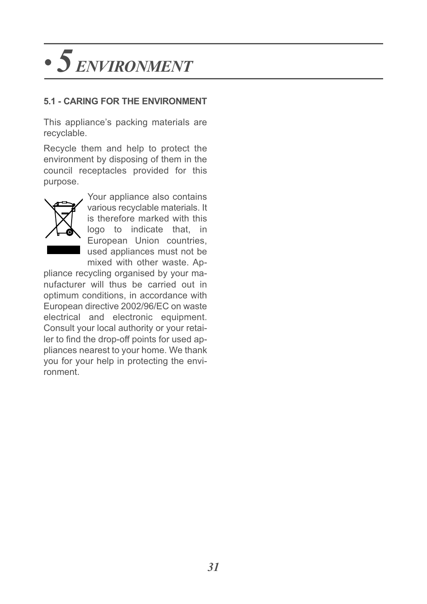## *• 5 ENVIRONMENT*

### **5.1 - CARING FOR THE ENVIRONMENT**

This appliance's packing materials are recyclable.

Recycle them and help to protect the environment by disposing of them in the council receptacles provided for this purpose.



Your appliance also contains various recyclable materials. It is therefore marked with this logo to indicate that, in European Union countries, used appliances must not be mixed with other waste. Ap-

pliance recycling organised by your manufacturer will thus be carried out in optimum conditions, in accordance with European directive 2002/96/EC on waste electrical and electronic equipment. Consult your local authority or your retailer to find the drop-off points for used appliances nearest to your home. We thank you for your help in protecting the environment.